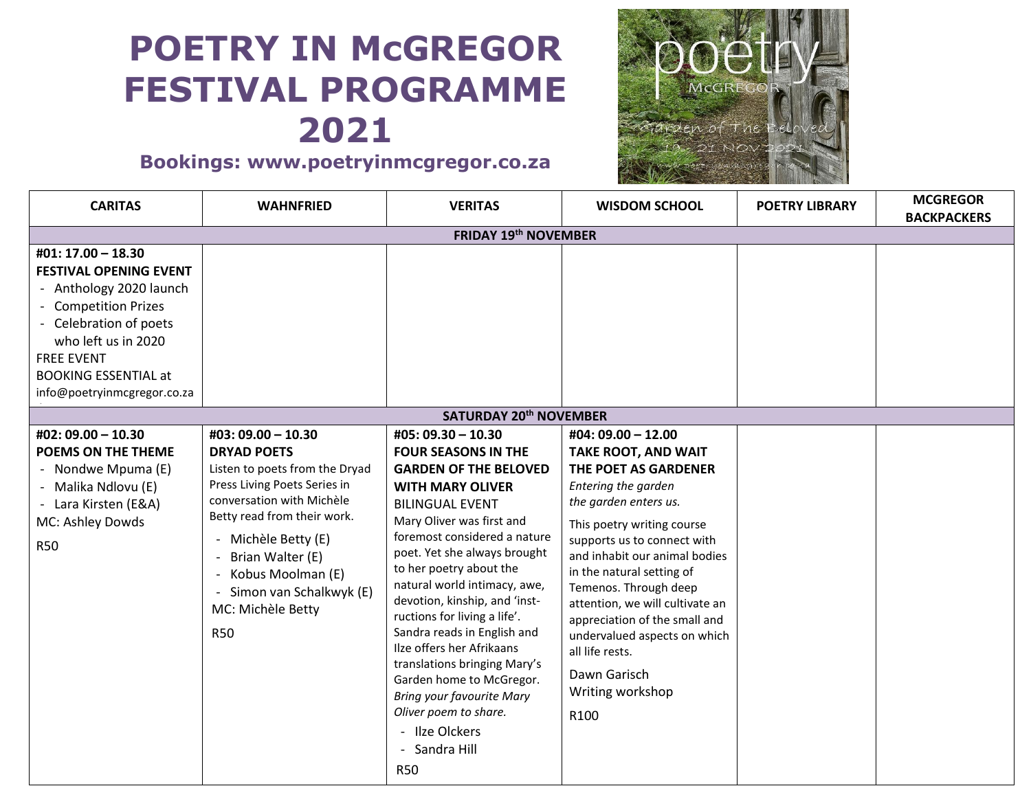# **POETRY IN McGREGOR FESTIVAL PROGRAMME 2021**

# **Bookings: www.poetryinmcgregor.co.za**



| <b>CARITAS</b>                                                                                                                                                                                                                             | <b>WAHNFRIED</b>                                                                                                                                                                                                                                                                                   | <b>VERITAS</b>                                                                                                                                                                                                                                                                                                                                                                                                                                                                                                                                                                                     | <b>WISDOM SCHOOL</b>                                                                                                                                                                                                                                                                                                                                                                                                                            | <b>POETRY LIBRARY</b> | <b>MCGREGOR</b><br><b>BACKPACKERS</b> |  |
|--------------------------------------------------------------------------------------------------------------------------------------------------------------------------------------------------------------------------------------------|----------------------------------------------------------------------------------------------------------------------------------------------------------------------------------------------------------------------------------------------------------------------------------------------------|----------------------------------------------------------------------------------------------------------------------------------------------------------------------------------------------------------------------------------------------------------------------------------------------------------------------------------------------------------------------------------------------------------------------------------------------------------------------------------------------------------------------------------------------------------------------------------------------------|-------------------------------------------------------------------------------------------------------------------------------------------------------------------------------------------------------------------------------------------------------------------------------------------------------------------------------------------------------------------------------------------------------------------------------------------------|-----------------------|---------------------------------------|--|
| <b>FRIDAY 19th NOVEMBER</b>                                                                                                                                                                                                                |                                                                                                                                                                                                                                                                                                    |                                                                                                                                                                                                                                                                                                                                                                                                                                                                                                                                                                                                    |                                                                                                                                                                                                                                                                                                                                                                                                                                                 |                       |                                       |  |
| #01: 17.00 - 18.30<br><b>FESTIVAL OPENING EVENT</b><br>- Anthology 2020 launch<br>- Competition Prizes<br>- Celebration of poets<br>who left us in 2020<br><b>FREE EVENT</b><br><b>BOOKING ESSENTIAL at</b><br>info@poetryinmcgregor.co.za |                                                                                                                                                                                                                                                                                                    |                                                                                                                                                                                                                                                                                                                                                                                                                                                                                                                                                                                                    |                                                                                                                                                                                                                                                                                                                                                                                                                                                 |                       |                                       |  |
|                                                                                                                                                                                                                                            |                                                                                                                                                                                                                                                                                                    | <b>SATURDAY 20th NOVEMBER</b>                                                                                                                                                                                                                                                                                                                                                                                                                                                                                                                                                                      |                                                                                                                                                                                                                                                                                                                                                                                                                                                 |                       |                                       |  |
| #02: 09.00 - 10.30<br>POEMS ON THE THEME<br>- Nondwe Mpuma (E)<br>- Malika Ndlovu (E)<br>- Lara Kirsten (E&A)<br>MC: Ashley Dowds<br><b>R50</b>                                                                                            | #03: 09.00 - 10.30<br><b>DRYAD POETS</b><br>Listen to poets from the Dryad<br>Press Living Poets Series in<br>conversation with Michèle<br>Betty read from their work.<br>Michèle Betty (E)<br>Brian Walter (E)<br>Kobus Moolman (E)<br>Simon van Schalkwyk (E)<br>MC: Michèle Betty<br><b>R50</b> | #05: 09.30 - 10.30<br><b>FOUR SEASONS IN THE</b><br><b>GARDEN OF THE BELOVED</b><br><b>WITH MARY OLIVER</b><br><b>BILINGUAL EVENT</b><br>Mary Oliver was first and<br>foremost considered a nature<br>poet. Yet she always brought<br>to her poetry about the<br>natural world intimacy, awe,<br>devotion, kinship, and 'inst-<br>ructions for living a life'.<br>Sandra reads in English and<br>Ilze offers her Afrikaans<br>translations bringing Mary's<br>Garden home to McGregor.<br><b>Bring your favourite Mary</b><br>Oliver poem to share.<br>- Ilze Olckers<br>Sandra Hill<br><b>R50</b> | #04: 09.00 - 12.00<br><b>TAKE ROOT, AND WAIT</b><br>THE POET AS GARDENER<br>Entering the garden<br>the garden enters us.<br>This poetry writing course<br>supports us to connect with<br>and inhabit our animal bodies<br>in the natural setting of<br>Temenos. Through deep<br>attention, we will cultivate an<br>appreciation of the small and<br>undervalued aspects on which<br>all life rests.<br>Dawn Garisch<br>Writing workshop<br>R100 |                       |                                       |  |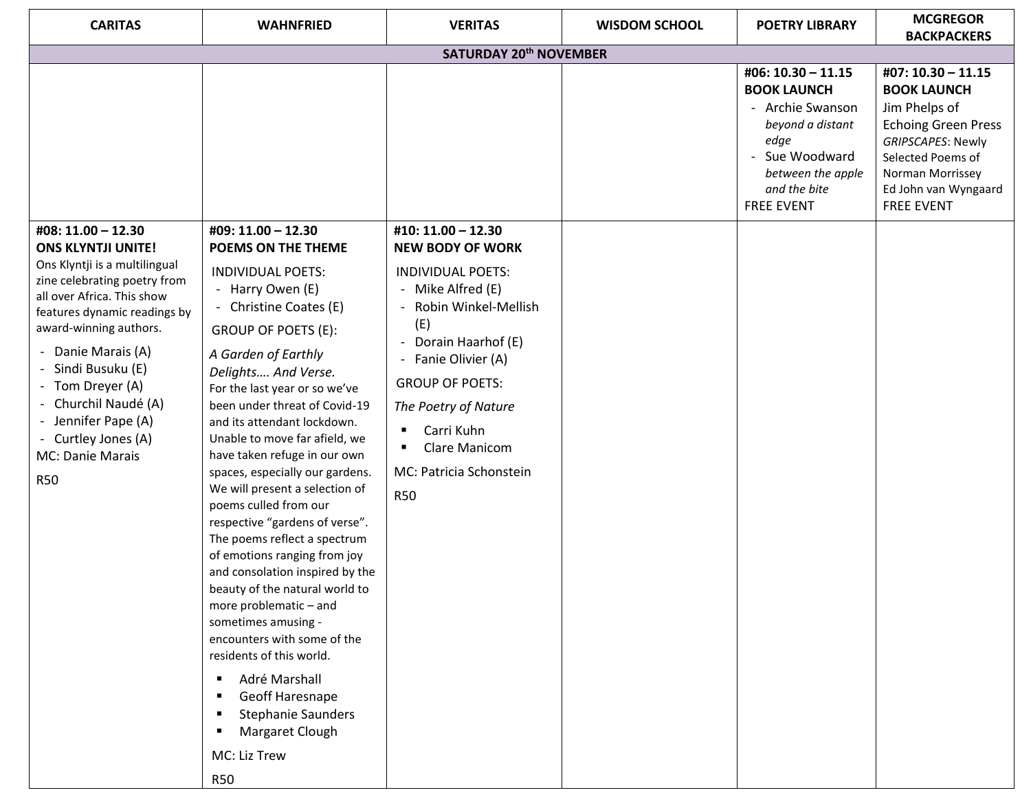| <b>CARITAS</b>                                                                                                                                                                                                                                                                                                                                           | <b>WAHNFRIED</b>                                                                                                                                                                                                                                                                                                                                                                                                                                                                                                                                                                                                                                                                                                                                                                                                                            | <b>VERITAS</b>                                                                                                                                                                                                                                                                                                    | <b>WISDOM SCHOOL</b> | <b>POETRY LIBRARY</b>                                                                                                                                              | <b>MCGREGOR</b><br><b>BACKPACKERS</b>                                                                                                                                                              |  |
|----------------------------------------------------------------------------------------------------------------------------------------------------------------------------------------------------------------------------------------------------------------------------------------------------------------------------------------------------------|---------------------------------------------------------------------------------------------------------------------------------------------------------------------------------------------------------------------------------------------------------------------------------------------------------------------------------------------------------------------------------------------------------------------------------------------------------------------------------------------------------------------------------------------------------------------------------------------------------------------------------------------------------------------------------------------------------------------------------------------------------------------------------------------------------------------------------------------|-------------------------------------------------------------------------------------------------------------------------------------------------------------------------------------------------------------------------------------------------------------------------------------------------------------------|----------------------|--------------------------------------------------------------------------------------------------------------------------------------------------------------------|----------------------------------------------------------------------------------------------------------------------------------------------------------------------------------------------------|--|
| <b>SATURDAY 20th NOVEMBER</b>                                                                                                                                                                                                                                                                                                                            |                                                                                                                                                                                                                                                                                                                                                                                                                                                                                                                                                                                                                                                                                                                                                                                                                                             |                                                                                                                                                                                                                                                                                                                   |                      |                                                                                                                                                                    |                                                                                                                                                                                                    |  |
|                                                                                                                                                                                                                                                                                                                                                          |                                                                                                                                                                                                                                                                                                                                                                                                                                                                                                                                                                                                                                                                                                                                                                                                                                             |                                                                                                                                                                                                                                                                                                                   |                      | #06: 10.30 - 11.15<br><b>BOOK LAUNCH</b><br>- Archie Swanson<br>beyond a distant<br>edge<br>Sue Woodward<br>between the apple<br>and the bite<br><b>FREE EVENT</b> | #07: 10.30 - 11.15<br><b>BOOK LAUNCH</b><br>Jim Phelps of<br><b>Echoing Green Press</b><br>GRIPSCAPES: Newly<br>Selected Poems of<br>Norman Morrissey<br>Ed John van Wyngaard<br><b>FREE EVENT</b> |  |
| #08: 11.00 - 12.30                                                                                                                                                                                                                                                                                                                                       | #09: 11.00 - 12.30                                                                                                                                                                                                                                                                                                                                                                                                                                                                                                                                                                                                                                                                                                                                                                                                                          | #10: 11.00 - 12.30                                                                                                                                                                                                                                                                                                |                      |                                                                                                                                                                    |                                                                                                                                                                                                    |  |
| <b>ONS KLYNTJI UNITE!</b><br>Ons Klyntji is a multilingual<br>zine celebrating poetry from<br>all over Africa. This show<br>features dynamic readings by<br>award-winning authors.<br>- Danie Marais (A)<br>Sindi Busuku (E)<br>- Tom Dreyer (A)<br>- Churchil Naudé (A)<br>- Jennifer Pape (A)<br>- Curtley Jones (A)<br>MC: Danie Marais<br><b>R50</b> | POEMS ON THE THEME<br><b>INDIVIDUAL POETS:</b><br>- Harry Owen (E)<br>- Christine Coates (E)<br>GROUP OF POETS (E):<br>A Garden of Earthly<br>Delights And Verse.<br>For the last year or so we've<br>been under threat of Covid-19<br>and its attendant lockdown.<br>Unable to move far afield, we<br>have taken refuge in our own<br>spaces, especially our gardens.<br>We will present a selection of<br>poems culled from our<br>respective "gardens of verse".<br>The poems reflect a spectrum<br>of emotions ranging from joy<br>and consolation inspired by the<br>beauty of the natural world to<br>more problematic - and<br>sometimes amusing -<br>encounters with some of the<br>residents of this world.<br>Adré Marshall<br>٠<br>Geoff Haresnape<br><b>Stephanie Saunders</b><br>Margaret Clough<br>MC: Liz Trew<br><b>R50</b> | <b>NEW BODY OF WORK</b><br><b>INDIVIDUAL POETS:</b><br>- Mike Alfred (E)<br>Robin Winkel-Mellish<br>(E)<br>Dorain Haarhof (E)<br>$\blacksquare$<br>- Fanie Olivier (A)<br><b>GROUP OF POETS:</b><br>The Poetry of Nature<br>Carri Kuhn<br>٠<br><b>Clare Manicom</b><br>٠<br>MC: Patricia Schonstein<br><b>R50</b> |                      |                                                                                                                                                                    |                                                                                                                                                                                                    |  |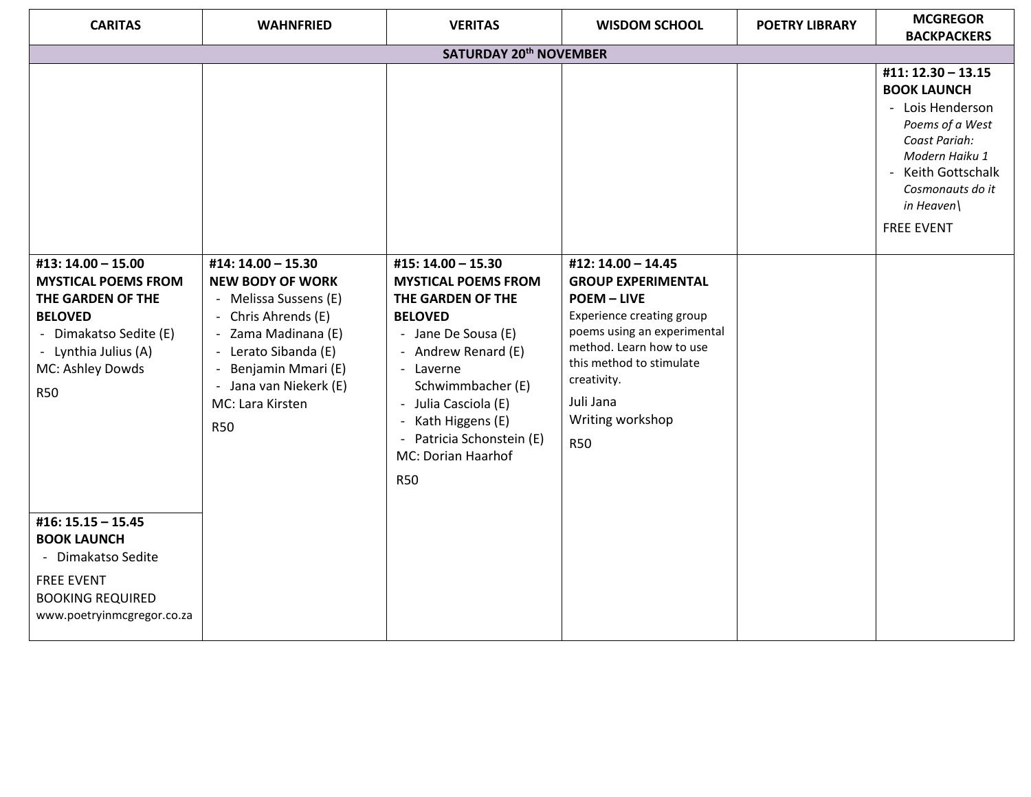| <b>CARITAS</b>                                                                                                                                        | <b>WAHNFRIED</b>                                                                                                                                                                                       | <b>VERITAS</b>                                                                                                                                                                                                                                                   | <b>WISDOM SCHOOL</b>                                                                                                                                                                                                              | <b>POETRY LIBRARY</b> | <b>MCGREGOR</b>                                                                                                                                                                               |  |
|-------------------------------------------------------------------------------------------------------------------------------------------------------|--------------------------------------------------------------------------------------------------------------------------------------------------------------------------------------------------------|------------------------------------------------------------------------------------------------------------------------------------------------------------------------------------------------------------------------------------------------------------------|-----------------------------------------------------------------------------------------------------------------------------------------------------------------------------------------------------------------------------------|-----------------------|-----------------------------------------------------------------------------------------------------------------------------------------------------------------------------------------------|--|
| <b>BACKPACKERS</b><br>SATURDAY 20 <sup>th</sup> NOVEMBER                                                                                              |                                                                                                                                                                                                        |                                                                                                                                                                                                                                                                  |                                                                                                                                                                                                                                   |                       |                                                                                                                                                                                               |  |
| #13: 14.00 - 15.00                                                                                                                                    | #14: 14.00 - 15.30                                                                                                                                                                                     | #15: 14.00 - 15.30                                                                                                                                                                                                                                               | #12: 14.00 - 14.45                                                                                                                                                                                                                |                       | #11: 12.30 - 13.15<br><b>BOOK LAUNCH</b><br>- Lois Henderson<br>Poems of a West<br>Coast Pariah:<br>Modern Haiku 1<br>Keith Gottschalk<br>Cosmonauts do it<br>in Heaven\<br><b>FREE EVENT</b> |  |
| <b>MYSTICAL POEMS FROM</b><br>THE GARDEN OF THE<br><b>BELOVED</b><br>- Dimakatso Sedite (E)<br>- Lynthia Julius (A)<br>MC: Ashley Dowds<br><b>R50</b> | <b>NEW BODY OF WORK</b><br>- Melissa Sussens (E)<br>- Chris Ahrends (E)<br>Zama Madinana (E)<br>- Lerato Sibanda (E)<br>Benjamin Mmari (E)<br>- Jana van Niekerk (E)<br>MC: Lara Kirsten<br><b>R50</b> | <b>MYSTICAL POEMS FROM</b><br>THE GARDEN OF THE<br><b>BELOVED</b><br>- Jane De Sousa (E)<br>- Andrew Renard (E)<br>- Laverne<br>Schwimmbacher (E)<br>- Julia Casciola (E)<br>- Kath Higgens (E)<br>- Patricia Schonstein (E)<br>MC: Dorian Haarhof<br><b>R50</b> | <b>GROUP EXPERIMENTAL</b><br><b>POEM - LIVE</b><br>Experience creating group<br>poems using an experimental<br>method. Learn how to use<br>this method to stimulate<br>creativity.<br>Juli Jana<br>Writing workshop<br><b>R50</b> |                       |                                                                                                                                                                                               |  |
| $#16: 15.15 - 15.45$<br><b>BOOK LAUNCH</b><br>- Dimakatso Sedite<br><b>FREE EVENT</b><br><b>BOOKING REQUIRED</b><br>www.poetryinmcgregor.co.za        |                                                                                                                                                                                                        |                                                                                                                                                                                                                                                                  |                                                                                                                                                                                                                                   |                       |                                                                                                                                                                                               |  |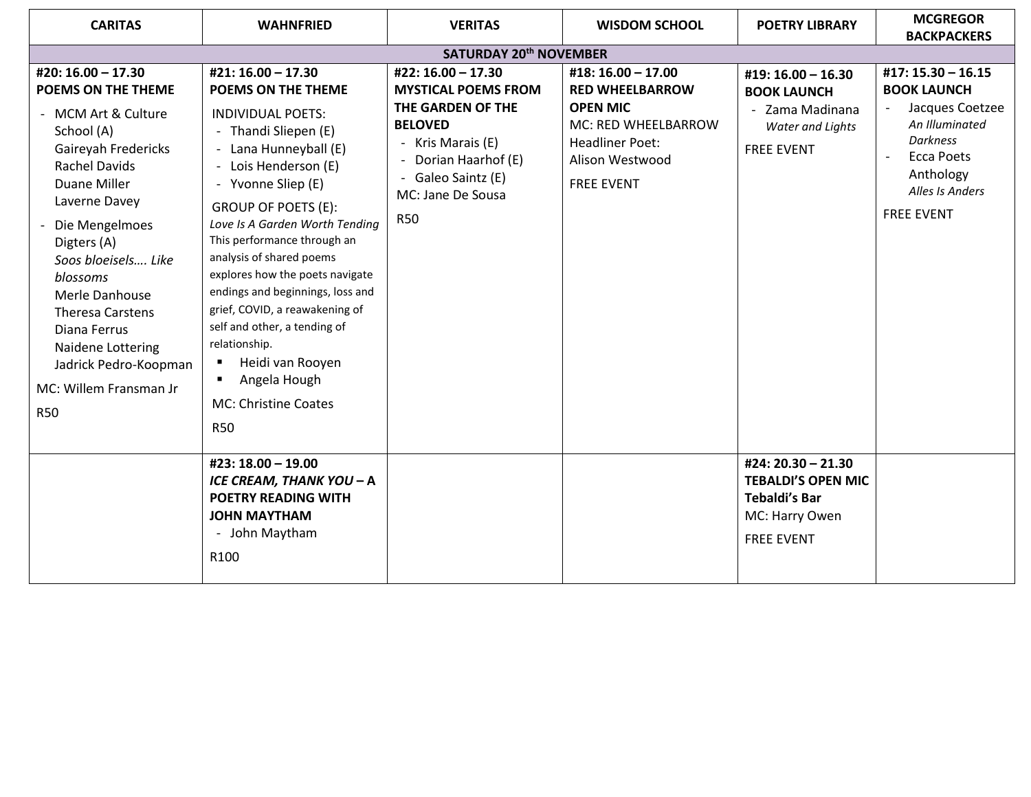| <b>CARITAS</b>                                                                                                                                                                                                                                                                                                                                                                       | <b>WAHNFRIED</b>                                                                                                                                                                                                                                                                                                                                                                                                                                                                                                                                   | <b>VERITAS</b>                                                                                                                                                                            | <b>WISDOM SCHOOL</b>                                                                                                                                     | <b>POETRY LIBRARY</b>                                                                                          | <b>MCGREGOR</b><br><b>BACKPACKERS</b>                                                                                                                                                |  |
|--------------------------------------------------------------------------------------------------------------------------------------------------------------------------------------------------------------------------------------------------------------------------------------------------------------------------------------------------------------------------------------|----------------------------------------------------------------------------------------------------------------------------------------------------------------------------------------------------------------------------------------------------------------------------------------------------------------------------------------------------------------------------------------------------------------------------------------------------------------------------------------------------------------------------------------------------|-------------------------------------------------------------------------------------------------------------------------------------------------------------------------------------------|----------------------------------------------------------------------------------------------------------------------------------------------------------|----------------------------------------------------------------------------------------------------------------|--------------------------------------------------------------------------------------------------------------------------------------------------------------------------------------|--|
| SATURDAY 20 <sup>th</sup> NOVEMBER                                                                                                                                                                                                                                                                                                                                                   |                                                                                                                                                                                                                                                                                                                                                                                                                                                                                                                                                    |                                                                                                                                                                                           |                                                                                                                                                          |                                                                                                                |                                                                                                                                                                                      |  |
| #20: 16.00 - 17.30<br>POEMS ON THE THEME<br>- MCM Art & Culture<br>School (A)<br>Gaireyah Fredericks<br><b>Rachel Davids</b><br>Duane Miller<br>Laverne Davey<br>Die Mengelmoes<br>Digters (A)<br>Soos bloeisels Like<br>blossoms<br>Merle Danhouse<br><b>Theresa Carstens</b><br>Diana Ferrus<br>Naidene Lottering<br>Jadrick Pedro-Koopman<br>MC: Willem Fransman Jr<br><b>R50</b> | #21: 16.00 - 17.30<br><b>POEMS ON THE THEME</b><br><b>INDIVIDUAL POETS:</b><br>Thandi Sliepen (E)<br>Lana Hunneyball (E)<br>Lois Henderson (E)<br>Yvonne Sliep (E)<br><b>GROUP OF POETS (E):</b><br>Love Is A Garden Worth Tending<br>This performance through an<br>analysis of shared poems<br>explores how the poets navigate<br>endings and beginnings, loss and<br>grief, COVID, a reawakening of<br>self and other, a tending of<br>relationship.<br>Heidi van Rooyen<br>٠<br>Angela Hough<br>٠<br><b>MC: Christine Coates</b><br><b>R50</b> | #22: 16.00 - 17.30<br><b>MYSTICAL POEMS FROM</b><br>THE GARDEN OF THE<br><b>BELOVED</b><br>- Kris Marais (E)<br>Dorian Haarhof (E)<br>Galeo Saintz (E)<br>MC: Jane De Sousa<br><b>R50</b> | #18: 16.00 - 17.00<br><b>RED WHEELBARROW</b><br><b>OPEN MIC</b><br>MC: RED WHEELBARROW<br><b>Headliner Poet:</b><br>Alison Westwood<br><b>FREE EVENT</b> | #19: 16.00 - 16.30<br><b>BOOK LAUNCH</b><br>- Zama Madinana<br>Water and Lights<br><b>FREE EVENT</b>           | #17: 15.30 - 16.15<br><b>BOOK LAUNCH</b><br>Jacques Coetzee<br>An Illuminated<br><b>Darkness</b><br><b>Ecca Poets</b><br>$\sim$<br>Anthology<br>Alles Is Anders<br><b>FREE EVENT</b> |  |
|                                                                                                                                                                                                                                                                                                                                                                                      | #23: 18.00 - 19.00<br>ICE CREAM, THANK YOU - A<br><b>POETRY READING WITH</b><br><b>JOHN MAYTHAM</b><br>- John Maytham<br>R100                                                                                                                                                                                                                                                                                                                                                                                                                      |                                                                                                                                                                                           |                                                                                                                                                          | #24: 20.30 - 21.30<br><b>TEBALDI'S OPEN MIC</b><br><b>Tebaldi's Bar</b><br>MC: Harry Owen<br><b>FREE EVENT</b> |                                                                                                                                                                                      |  |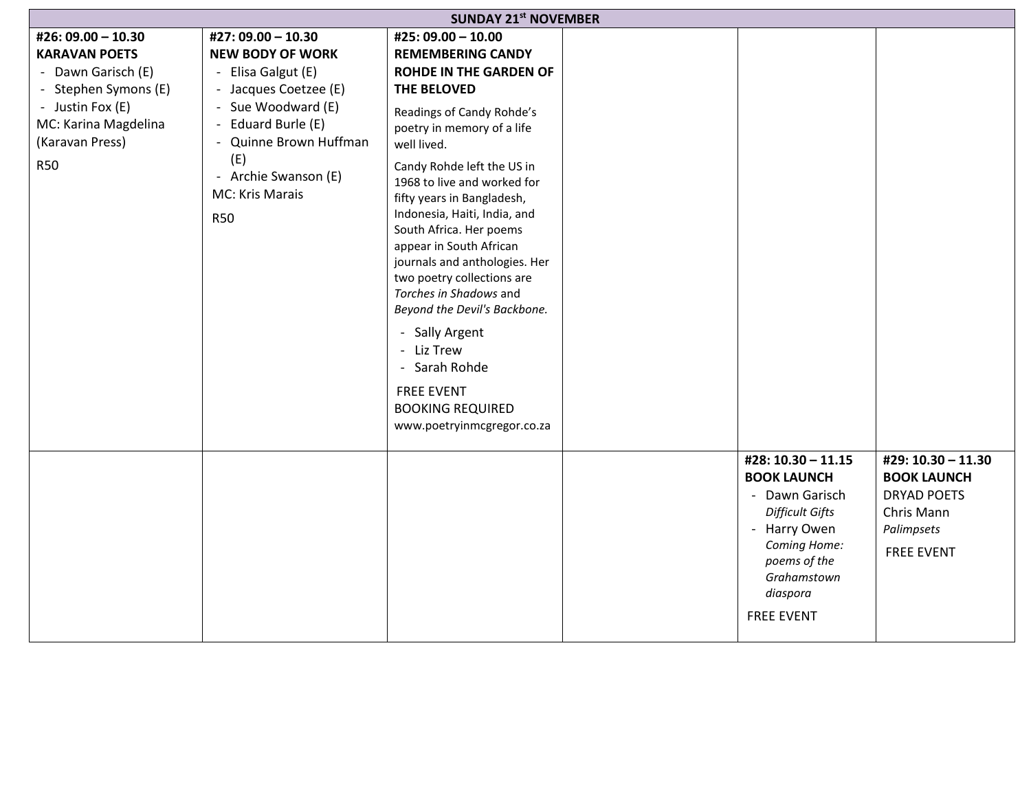| <b>SUNDAY 21st NOVEMBER</b>                                                                                                                                           |                                                                                                                                                                                                                                    |                                                                                                                                                                                                                                                                                                                                                                                                                                                                                                                                                                                                                   |  |                                                                                                                                                                                      |                                                                                                                 |
|-----------------------------------------------------------------------------------------------------------------------------------------------------------------------|------------------------------------------------------------------------------------------------------------------------------------------------------------------------------------------------------------------------------------|-------------------------------------------------------------------------------------------------------------------------------------------------------------------------------------------------------------------------------------------------------------------------------------------------------------------------------------------------------------------------------------------------------------------------------------------------------------------------------------------------------------------------------------------------------------------------------------------------------------------|--|--------------------------------------------------------------------------------------------------------------------------------------------------------------------------------------|-----------------------------------------------------------------------------------------------------------------|
| #26: 09.00 - 10.30<br><b>KARAVAN POETS</b><br>- Dawn Garisch (E)<br>- Stephen Symons (E)<br>- Justin Fox (E)<br>MC: Karina Magdelina<br>(Karavan Press)<br><b>R50</b> | #27: 09.00 - 10.30<br><b>NEW BODY OF WORK</b><br>- Elisa Galgut (E)<br>- Jacques Coetzee (E)<br>- Sue Woodward (E)<br>- Eduard Burle (E)<br>- Quinne Brown Huffman<br>(E)<br>- Archie Swanson (E)<br>MC: Kris Marais<br><b>R50</b> | #25: 09.00 - 10.00<br><b>REMEMBERING CANDY</b><br><b>ROHDE IN THE GARDEN OF</b><br>THE BELOVED<br>Readings of Candy Rohde's<br>poetry in memory of a life<br>well lived.<br>Candy Rohde left the US in<br>1968 to live and worked for<br>fifty years in Bangladesh,<br>Indonesia, Haiti, India, and<br>South Africa. Her poems<br>appear in South African<br>journals and anthologies. Her<br>two poetry collections are<br>Torches in Shadows and<br>Beyond the Devil's Backbone.<br>- Sally Argent<br>- Liz Trew<br>- Sarah Rohde<br><b>FREE EVENT</b><br><b>BOOKING REQUIRED</b><br>www.poetryinmcgregor.co.za |  |                                                                                                                                                                                      |                                                                                                                 |
|                                                                                                                                                                       |                                                                                                                                                                                                                                    |                                                                                                                                                                                                                                                                                                                                                                                                                                                                                                                                                                                                                   |  | #28: 10.30 - 11.15<br><b>BOOK LAUNCH</b><br>- Dawn Garisch<br><b>Difficult Gifts</b><br>- Harry Owen<br>Coming Home:<br>poems of the<br>Grahamstown<br>diaspora<br><b>FREE EVENT</b> | #29: 10.30 - 11.30<br><b>BOOK LAUNCH</b><br><b>DRYAD POETS</b><br>Chris Mann<br>Palimpsets<br><b>FREE EVENT</b> |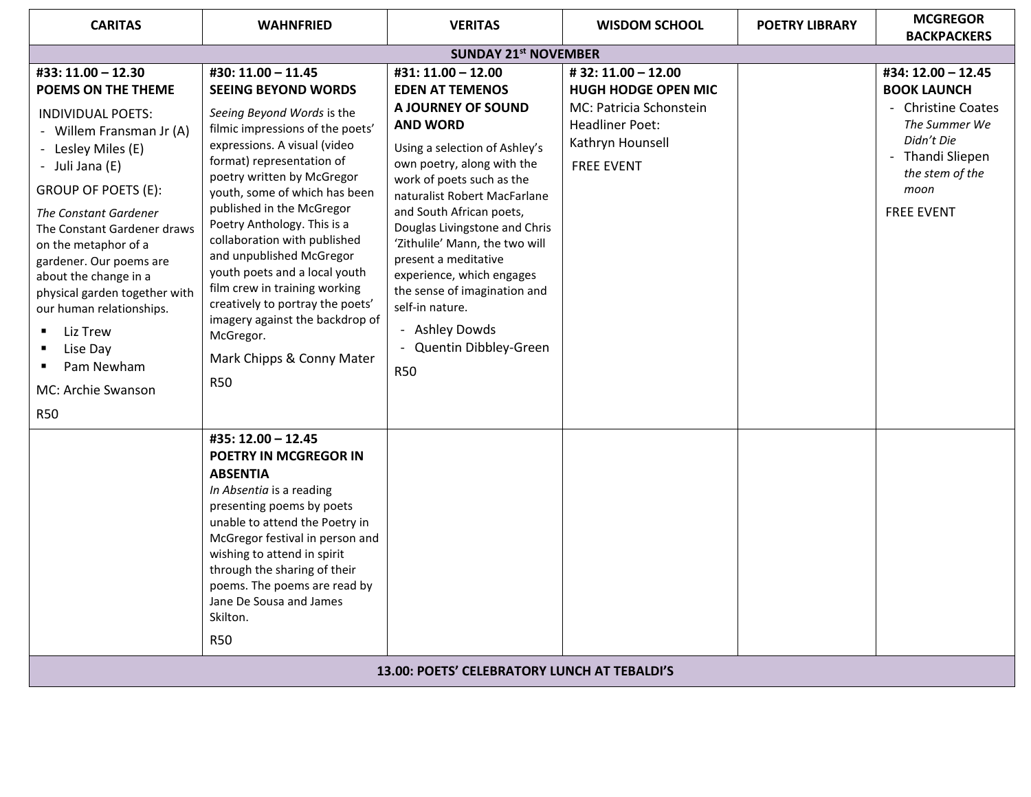| <b>CARITAS</b>                                                                                                                                                                                                                                                                                                                                                                                                                                                      | <b>WAHNFRIED</b>                                                                                                                                                                                                                                                                                                                                                                                                                                                                                                                                                        | <b>VERITAS</b>                                                                                                                                                                                                                                                                                                                                                                                                                                                                      | <b>WISDOM SCHOOL</b>                                                                                                                          | <b>POETRY LIBRARY</b> | <b>MCGREGOR</b><br><b>BACKPACKERS</b>                                                                                                                             |  |
|---------------------------------------------------------------------------------------------------------------------------------------------------------------------------------------------------------------------------------------------------------------------------------------------------------------------------------------------------------------------------------------------------------------------------------------------------------------------|-------------------------------------------------------------------------------------------------------------------------------------------------------------------------------------------------------------------------------------------------------------------------------------------------------------------------------------------------------------------------------------------------------------------------------------------------------------------------------------------------------------------------------------------------------------------------|-------------------------------------------------------------------------------------------------------------------------------------------------------------------------------------------------------------------------------------------------------------------------------------------------------------------------------------------------------------------------------------------------------------------------------------------------------------------------------------|-----------------------------------------------------------------------------------------------------------------------------------------------|-----------------------|-------------------------------------------------------------------------------------------------------------------------------------------------------------------|--|
| <b>SUNDAY 21st NOVEMBER</b>                                                                                                                                                                                                                                                                                                                                                                                                                                         |                                                                                                                                                                                                                                                                                                                                                                                                                                                                                                                                                                         |                                                                                                                                                                                                                                                                                                                                                                                                                                                                                     |                                                                                                                                               |                       |                                                                                                                                                                   |  |
| #33: 11.00 - 12.30<br><b>POEMS ON THE THEME</b><br><b>INDIVIDUAL POETS:</b><br>- Willem Fransman Jr (A)<br>- Lesley Miles (E)<br>- Juli Jana (E)<br>GROUP OF POETS (E):<br><b>The Constant Gardener</b><br>The Constant Gardener draws<br>on the metaphor of a<br>gardener. Our poems are<br>about the change in a<br>physical garden together with<br>our human relationships.<br>Liz Trew<br>Lise Day<br>٠<br>Pam Newham<br>٠<br>MC: Archie Swanson<br><b>R50</b> | #30: 11.00 - 11.45<br><b>SEEING BEYOND WORDS</b><br>Seeing Beyond Words is the<br>filmic impressions of the poets'<br>expressions. A visual (video<br>format) representation of<br>poetry written by McGregor<br>youth, some of which has been<br>published in the McGregor<br>Poetry Anthology. This is a<br>collaboration with published<br>and unpublished McGregor<br>youth poets and a local youth<br>film crew in training working<br>creatively to portray the poets'<br>imagery against the backdrop of<br>McGregor.<br>Mark Chipps & Conny Mater<br><b>R50</b> | #31: 11.00 - 12.00<br><b>EDEN AT TEMENOS</b><br>A JOURNEY OF SOUND<br><b>AND WORD</b><br>Using a selection of Ashley's<br>own poetry, along with the<br>work of poets such as the<br>naturalist Robert MacFarlane<br>and South African poets,<br>Douglas Livingstone and Chris<br>'Zithulile' Mann, the two will<br>present a meditative<br>experience, which engages<br>the sense of imagination and<br>self-in nature.<br>- Ashley Dowds<br>- Quentin Dibbley-Green<br><b>R50</b> | #32:11.00 - 12.00<br><b>HUGH HODGE OPEN MIC</b><br>MC: Patricia Schonstein<br><b>Headliner Poet:</b><br>Kathryn Hounsell<br><b>FREE EVENT</b> |                       | #34: 12.00 - 12.45<br><b>BOOK LAUNCH</b><br>- Christine Coates<br>The Summer We<br>Didn't Die<br>- Thandi Sliepen<br>the stem of the<br>moon<br><b>FREE EVENT</b> |  |
|                                                                                                                                                                                                                                                                                                                                                                                                                                                                     | #35: 12.00 - 12.45<br><b>POETRY IN MCGREGOR IN</b><br><b>ABSENTIA</b><br>In Absentia is a reading<br>presenting poems by poets<br>unable to attend the Poetry in<br>McGregor festival in person and<br>wishing to attend in spirit<br>through the sharing of their<br>poems. The poems are read by<br>Jane De Sousa and James<br>Skilton.<br><b>R50</b>                                                                                                                                                                                                                 |                                                                                                                                                                                                                                                                                                                                                                                                                                                                                     |                                                                                                                                               |                       |                                                                                                                                                                   |  |
|                                                                                                                                                                                                                                                                                                                                                                                                                                                                     |                                                                                                                                                                                                                                                                                                                                                                                                                                                                                                                                                                         | 13.00: POETS' CELEBRATORY LUNCH AT TEBALDI'S                                                                                                                                                                                                                                                                                                                                                                                                                                        |                                                                                                                                               |                       |                                                                                                                                                                   |  |